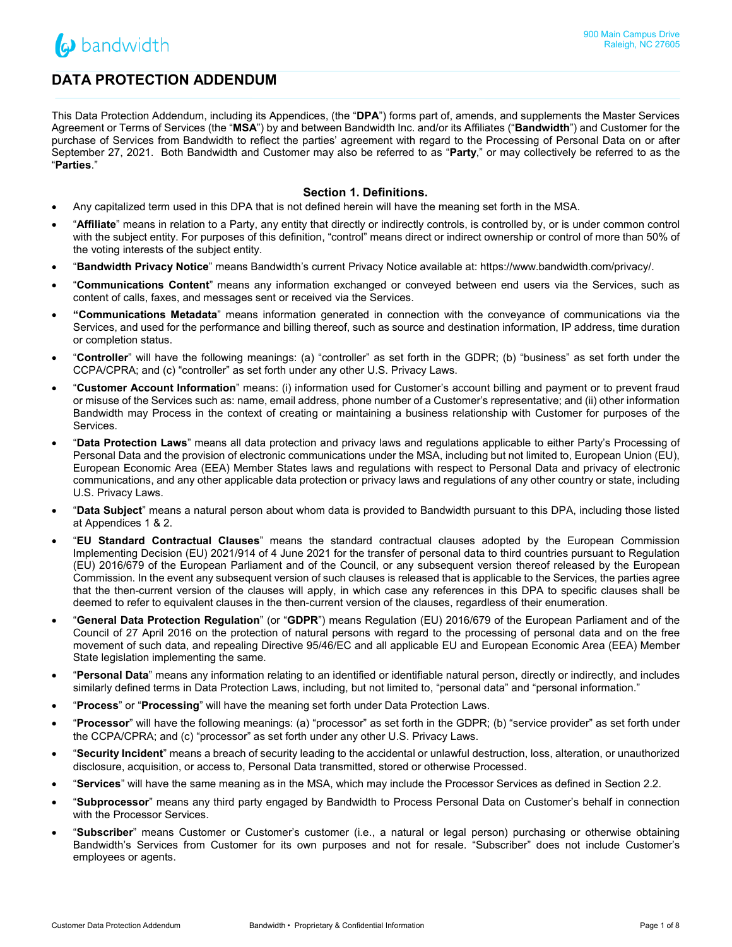

# **DATA PROTECTION ADDENDUM**

This Data Protection Addendum, including its Appendices, (the "**DPA**") forms part of, amends, and supplements the Master Services Agreement or Terms of Services (the "**MSA**") by and between Bandwidth Inc. and/or its Affiliates ("**Bandwidth**") and Customer for the purchase of Services from Bandwidth to reflect the parties' agreement with regard to the Processing of Personal Data on or after September 27, 2021. Both Bandwidth and Customer may also be referred to as "**Party**," or may collectively be referred to as the "**Parties**."

### **Section 1. Definitions.**

- Any capitalized term used in this DPA that is not defined herein will have the meaning set forth in the MSA.
- "**Affiliate**" means in relation to a Party, any entity that directly or indirectly controls, is controlled by, or is under common control with the subject entity. For purposes of this definition, "control" means direct or indirect ownership or control of more than 50% of the voting interests of the subject entity.
- "**Bandwidth Privacy Notice**" means Bandwidth's current Privacy Notice available at: https://www.bandwidth.com/privacy/.
- "**Communications Content**" means any information exchanged or conveyed between end users via the Services, such as content of calls, faxes, and messages sent or received via the Services.
- **"Communications Metadata**" means information generated in connection with the conveyance of communications via the Services, and used for the performance and billing thereof, such as source and destination information, IP address, time duration or completion status.
- "**Controller**" will have the following meanings: (a) "controller" as set forth in the GDPR; (b) "business" as set forth under the CCPA/CPRA; and (c) "controller" as set forth under any other U.S. Privacy Laws.
- "**Customer Account Information**" means: (i) information used for Customer's account billing and payment or to prevent fraud or misuse of the Services such as: name, email address, phone number of a Customer's representative; and (ii) other information Bandwidth may Process in the context of creating or maintaining a business relationship with Customer for purposes of the Services.
- "**Data Protection Laws**" means all data protection and privacy laws and regulations applicable to either Party's Processing of Personal Data and the provision of electronic communications under the MSA, including but not limited to, European Union (EU), European Economic Area (EEA) Member States laws and regulations with respect to Personal Data and privacy of electronic communications, and any other applicable data protection or privacy laws and regulations of any other country or state, including U.S. Privacy Laws.
- "**Data Subject**" means a natural person about whom data is provided to Bandwidth pursuant to this DPA, including those listed at Appendices 1 & 2.
- "**EU Standard Contractual Clauses**" means the standard contractual clauses adopted by the European Commission Implementing Decision (EU) 2021/914 of 4 June 2021 for the transfer of personal data to third countries pursuant to Regulation (EU) 2016/679 of the European Parliament and of the Council, or any subsequent version thereof released by the European Commission. In the event any subsequent version of such clauses is released that is applicable to the Services, the parties agree that the then-current version of the clauses will apply, in which case any references in this DPA to specific clauses shall be deemed to refer to equivalent clauses in the then-current version of the clauses, regardless of their enumeration.
- "**General Data Protection Regulation**" (or "**GDPR**") means Regulation (EU) 2016/679 of the European Parliament and of the Council of 27 April 2016 on the protection of natural persons with regard to the processing of personal data and on the free movement of such data, and repealing Directive 95/46/EC and all applicable EU and European Economic Area (EEA) Member State legislation implementing the same.
- "**Personal Data**" means any information relating to an identified or identifiable natural person, directly or indirectly, and includes similarly defined terms in Data Protection Laws, including, but not limited to, "personal data" and "personal information."
- "**Process**" or "**Processing**" will have the meaning set forth under Data Protection Laws.
- "**Processor**" will have the following meanings: (a) "processor" as set forth in the GDPR; (b) "service provider" as set forth under the CCPA/CPRA; and (c) "processor" as set forth under any other U.S. Privacy Laws.
- "**Security Incident**" means a breach of security leading to the accidental or unlawful destruction, loss, alteration, or unauthorized disclosure, acquisition, or access to, Personal Data transmitted, stored or otherwise Processed.
- "**Services**" will have the same meaning as in the MSA, which may include the Processor Services as defined in Section 2.2.
- "**Subprocessor**" means any third party engaged by Bandwidth to Process Personal Data on Customer's behalf in connection with the Processor Services.
- "**Subscriber**" means Customer or Customer's customer (i.e., a natural or legal person) purchasing or otherwise obtaining Bandwidth's Services from Customer for its own purposes and not for resale. "Subscriber" does not include Customer's employees or agents.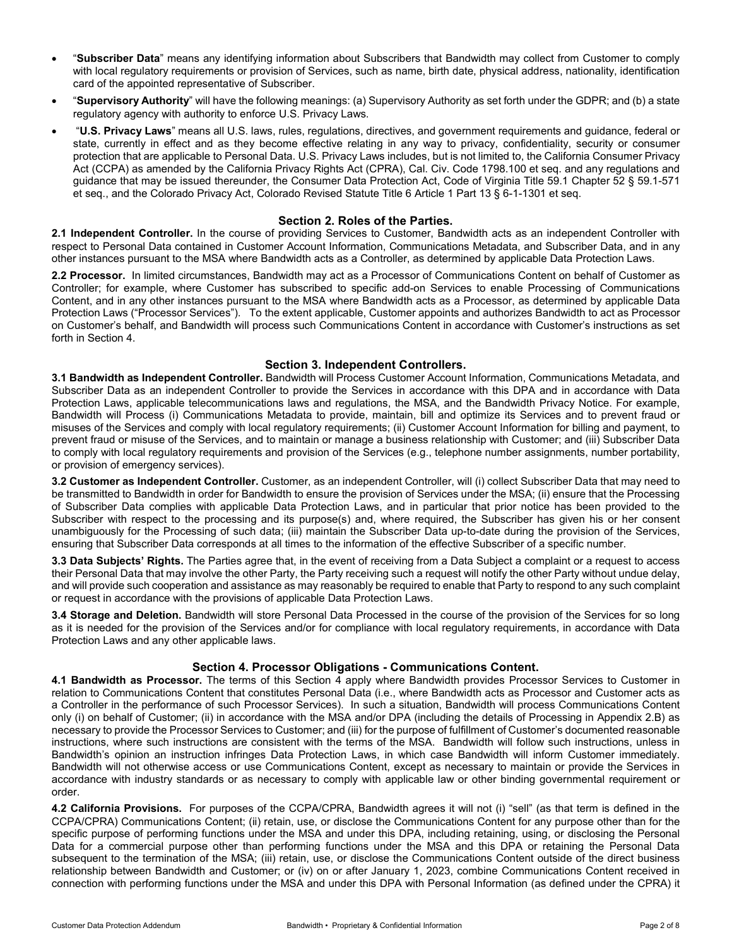- "**Subscriber Data**" means any identifying information about Subscribers that Bandwidth may collect from Customer to comply with local regulatory requirements or provision of Services, such as name, birth date, physical address, nationality, identification card of the appointed representative of Subscriber.
- "**Supervisory Authority**" will have the following meanings: (a) Supervisory Authority as set forth under the GDPR; and (b) a state regulatory agency with authority to enforce U.S. Privacy Laws.
- "**U.S. Privacy Laws**" means all U.S. laws, rules, regulations, directives, and government requirements and guidance, federal or state, currently in effect and as they become effective relating in any way to privacy, confidentiality, security or consumer protection that are applicable to Personal Data. U.S. Privacy Laws includes, but is not limited to, the California Consumer Privacy Act (CCPA) as amended by the California Privacy Rights Act (CPRA), Cal. Civ. Code 1798.100 et seq. and any regulations and guidance that may be issued thereunder, the Consumer Data Protection Act, Code of Virginia Title 59.1 Chapter 52 § 59.1-571 et seq., and the Colorado Privacy Act, Colorado Revised Statute Title 6 Article 1 Part 13 § 6-1-1301 et seq.

## **Section 2. Roles of the Parties.**

**2.1 Independent Controller.** In the course of providing Services to Customer, Bandwidth acts as an independent Controller with respect to Personal Data contained in Customer Account Information, Communications Metadata, and Subscriber Data, and in any other instances pursuant to the MSA where Bandwidth acts as a Controller, as determined by applicable Data Protection Laws.

**2.2 Processor.** In limited circumstances, Bandwidth may act as a Processor of Communications Content on behalf of Customer as Controller; for example, where Customer has subscribed to specific add-on Services to enable Processing of Communications Content, and in any other instances pursuant to the MSA where Bandwidth acts as a Processor, as determined by applicable Data Protection Laws ("Processor Services"). To the extent applicable, Customer appoints and authorizes Bandwidth to act as Processor on Customer's behalf, and Bandwidth will process such Communications Content in accordance with Customer's instructions as set forth in Section 4.

## **Section 3. Independent Controllers.**

**3.1 Bandwidth as Independent Controller.** Bandwidth will Process Customer Account Information, Communications Metadata, and Subscriber Data as an independent Controller to provide the Services in accordance with this DPA and in accordance with Data Protection Laws, applicable telecommunications laws and regulations, the MSA, and the Bandwidth Privacy Notice. For example, Bandwidth will Process (i) Communications Metadata to provide, maintain, bill and optimize its Services and to prevent fraud or misuses of the Services and comply with local regulatory requirements; (ii) Customer Account Information for billing and payment, to prevent fraud or misuse of the Services, and to maintain or manage a business relationship with Customer; and (iii) Subscriber Data to comply with local regulatory requirements and provision of the Services (e.g., telephone number assignments, number portability, or provision of emergency services).

**3.2 Customer as Independent Controller.** Customer, as an independent Controller, will (i) collect Subscriber Data that may need to be transmitted to Bandwidth in order for Bandwidth to ensure the provision of Services under the MSA; (ii) ensure that the Processing of Subscriber Data complies with applicable Data Protection Laws, and in particular that prior notice has been provided to the Subscriber with respect to the processing and its purpose(s) and, where required, the Subscriber has given his or her consent unambiguously for the Processing of such data; (iii) maintain the Subscriber Data up-to-date during the provision of the Services, ensuring that Subscriber Data corresponds at all times to the information of the effective Subscriber of a specific number.

**3.3 Data Subjects' Rights.** The Parties agree that, in the event of receiving from a Data Subject a complaint or a request to access their Personal Data that may involve the other Party, the Party receiving such a request will notify the other Party without undue delay, and will provide such cooperation and assistance as may reasonably be required to enable that Party to respond to any such complaint or request in accordance with the provisions of applicable Data Protection Laws.

**3.4 Storage and Deletion.** Bandwidth will store Personal Data Processed in the course of the provision of the Services for so long as it is needed for the provision of the Services and/or for compliance with local regulatory requirements, in accordance with Data Protection Laws and any other applicable laws.

## **Section 4. Processor Obligations - Communications Content.**

**4.1 Bandwidth as Processor.** The terms of this Section 4 apply where Bandwidth provides Processor Services to Customer in relation to Communications Content that constitutes Personal Data (i.e., where Bandwidth acts as Processor and Customer acts as a Controller in the performance of such Processor Services). In such a situation, Bandwidth will process Communications Content only (i) on behalf of Customer; (ii) in accordance with the MSA and/or DPA (including the details of Processing in Appendix 2.B) as necessary to provide the Processor Services to Customer; and (iii) for the purpose of fulfillment of Customer's documented reasonable instructions, where such instructions are consistent with the terms of the MSA. Bandwidth will follow such instructions, unless in Bandwidth's opinion an instruction infringes Data Protection Laws, in which case Bandwidth will inform Customer immediately. Bandwidth will not otherwise access or use Communications Content, except as necessary to maintain or provide the Services in accordance with industry standards or as necessary to comply with applicable law or other binding governmental requirement or order.

**4.2 California Provisions.** For purposes of the CCPA/CPRA, Bandwidth agrees it will not (i) "sell" (as that term is defined in the CCPA/CPRA) Communications Content; (ii) retain, use, or disclose the Communications Content for any purpose other than for the specific purpose of performing functions under the MSA and under this DPA, including retaining, using, or disclosing the Personal Data for a commercial purpose other than performing functions under the MSA and this DPA or retaining the Personal Data subsequent to the termination of the MSA; (iii) retain, use, or disclose the Communications Content outside of the direct business relationship between Bandwidth and Customer; or (iv) on or after January 1, 2023, combine Communications Content received in connection with performing functions under the MSA and under this DPA with Personal Information (as defined under the CPRA) it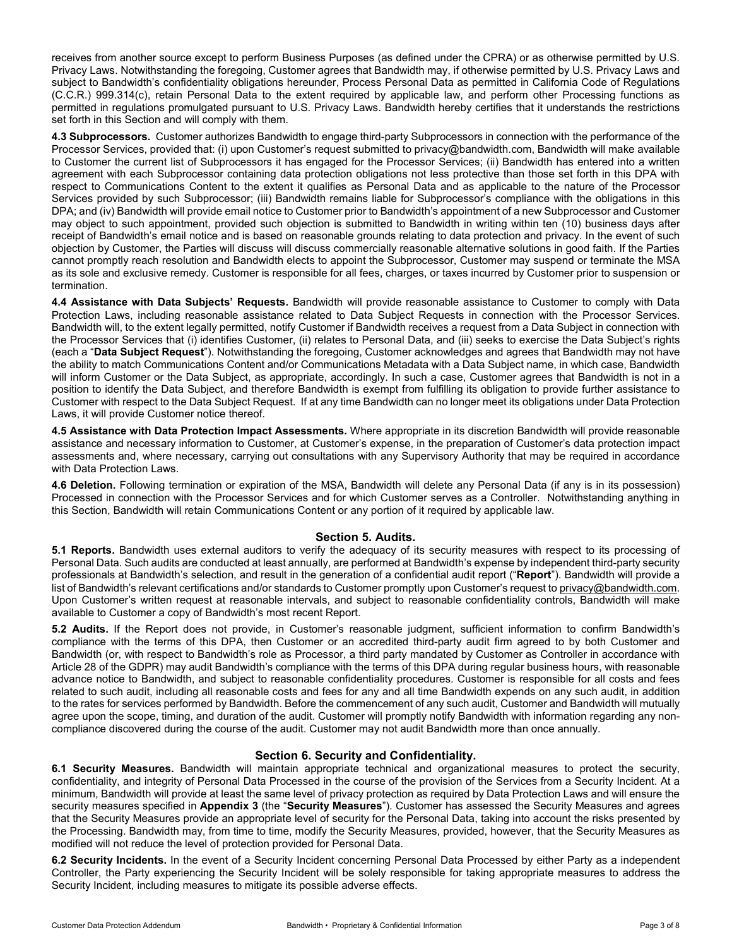receives from another source except to perform Business Purposes (as defined under the CPRA) or as otherwise permitted by U.S. Privacy Laws. Notwithstanding the foregoing, Customer agrees that Bandwidth may, if otherwise permitted by U.S. Privacy Laws and subject to Bandwidth's confidentiality obligations hereunder, Process Personal Data as permitted in California Code of Regulations (C.C.R.) 999.314(c), retain Personal Data to the extent required by applicable law, and perform other Processing functions as permitted in regulations promulgated pursuant to U.S. Privacy Laws. Bandwidth hereby certifies that it understands the restrictions set forth in this Section and will comply with them.

**4.3 Subprocessors.** Customer authorizes Bandwidth to engage third-party Subprocessors in connection with the performance of the Processor Services, provided that: (i) upon Customer's request submitted to privacy@bandwidth.com, Bandwidth will make available to Customer the current list of Subprocessors it has engaged for the Processor Services; (ii) Bandwidth has entered into a written agreement with each Subprocessor containing data protection obligations not less protective than those set forth in this DPA with respect to Communications Content to the extent it qualifies as Personal Data and as applicable to the nature of the Processor Services provided by such Subprocessor; (iii) Bandwidth remains liable for Subprocessor's compliance with the obligations in this DPA; and (iv) Bandwidth will provide email notice to Customer prior to Bandwidth's appointment of a new Subprocessor and Customer may object to such appointment, provided such objection is submitted to Bandwidth in writing within ten (10) business days after receipt of Bandwidth's email notice and is based on reasonable grounds relating to data protection and privacy. In the event of such objection by Customer, the Parties will discuss will discuss commercially reasonable alternative solutions in good faith. If the Parties cannot promptly reach resolution and Bandwidth elects to appoint the Subprocessor, Customer may suspend or terminate the MSA as its sole and exclusive remedy. Customer is responsible for all fees, charges, or taxes incurred by Customer prior to suspension or termination.

**4.4 Assistance with Data Subjects' Requests.** Bandwidth will provide reasonable assistance to Customer to comply with Data Protection Laws, including reasonable assistance related to Data Subject Requests in connection with the Processor Services. Bandwidth will, to the extent legally permitted, notify Customer if Bandwidth receives a request from a Data Subject in connection with the Processor Services that (i) identifies Customer, (ii) relates to Personal Data, and (iii) seeks to exercise the Data Subject's rights (each a "**Data Subject Request**"). Notwithstanding the foregoing, Customer acknowledges and agrees that Bandwidth may not have the ability to match Communications Content and/or Communications Metadata with a Data Subject name, in which case, Bandwidth will inform Customer or the Data Subject, as appropriate, accordingly. In such a case, Customer agrees that Bandwidth is not in a position to identify the Data Subject, and therefore Bandwidth is exempt from fulfilling its obligation to provide further assistance to Customer with respect to the Data Subject Request. If at any time Bandwidth can no longer meet its obligations under Data Protection Laws, it will provide Customer notice thereof.

**4.5 Assistance with Data Protection Impact Assessments.** Where appropriate in its discretion Bandwidth will provide reasonable assistance and necessary information to Customer, at Customer's expense, in the preparation of Customer's data protection impact assessments and, where necessary, carrying out consultations with any Supervisory Authority that may be required in accordance with Data Protection Laws.

**4.6 Deletion.** Following termination or expiration of the MSA, Bandwidth will delete any Personal Data (if any is in its possession) Processed in connection with the Processor Services and for which Customer serves as a Controller. Notwithstanding anything in this Section, Bandwidth will retain Communications Content or any portion of it required by applicable law.

### **Section 5. Audits.**

**5.1 Reports.** Bandwidth uses external auditors to verify the adequacy of its security measures with respect to its processing of Personal Data. Such audits are conducted at least annually, are performed at Bandwidth's expense by independent third-party security professionals at Bandwidth's selection, and result in the generation of a confidential audit report ("**Report**"). Bandwidth will provide a list of Bandwidth's relevant certifications and/or standards to Customer promptly upon Customer's request to privacy@bandwidth.com. Upon Customer's written request at reasonable intervals, and subject to reasonable confidentiality controls, Bandwidth will make available to Customer a copy of Bandwidth's most recent Report.

**5.2 Audits.** If the Report does not provide, in Customer's reasonable judgment, sufficient information to confirm Bandwidth's compliance with the terms of this DPA, then Customer or an accredited third-party audit firm agreed to by both Customer and Bandwidth (or, with respect to Bandwidth's role as Processor, a third party mandated by Customer as Controller in accordance with Article 28 of the GDPR) may audit Bandwidth's compliance with the terms of this DPA during regular business hours, with reasonable advance notice to Bandwidth, and subject to reasonable confidentiality procedures. Customer is responsible for all costs and fees related to such audit, including all reasonable costs and fees for any and all time Bandwidth expends on any such audit, in addition to the rates for services performed by Bandwidth. Before the commencement of any such audit, Customer and Bandwidth will mutually agree upon the scope, timing, and duration of the audit. Customer will promptly notify Bandwidth with information regarding any noncompliance discovered during the course of the audit. Customer may not audit Bandwidth more than once annually.

## **Section 6. Security and Confidentiality.**

**6.1 Security Measures.** Bandwidth will maintain appropriate technical and organizational measures to protect the security, confidentiality, and integrity of Personal Data Processed in the course of the provision of the Services from a Security Incident. At a minimum, Bandwidth will provide at least the same level of privacy protection as required by Data Protection Laws and will ensure the security measures specified in **Appendix 3** (the "**Security Measures**"). Customer has assessed the Security Measures and agrees that the Security Measures provide an appropriate level of security for the Personal Data, taking into account the risks presented by the Processing. Bandwidth may, from time to time, modify the Security Measures, provided, however, that the Security Measures as modified will not reduce the level of protection provided for Personal Data.

**6.2 Security Incidents.** In the event of a Security Incident concerning Personal Data Processed by either Party as a independent Controller, the Party experiencing the Security Incident will be solely responsible for taking appropriate measures to address the Security Incident, including measures to mitigate its possible adverse effects.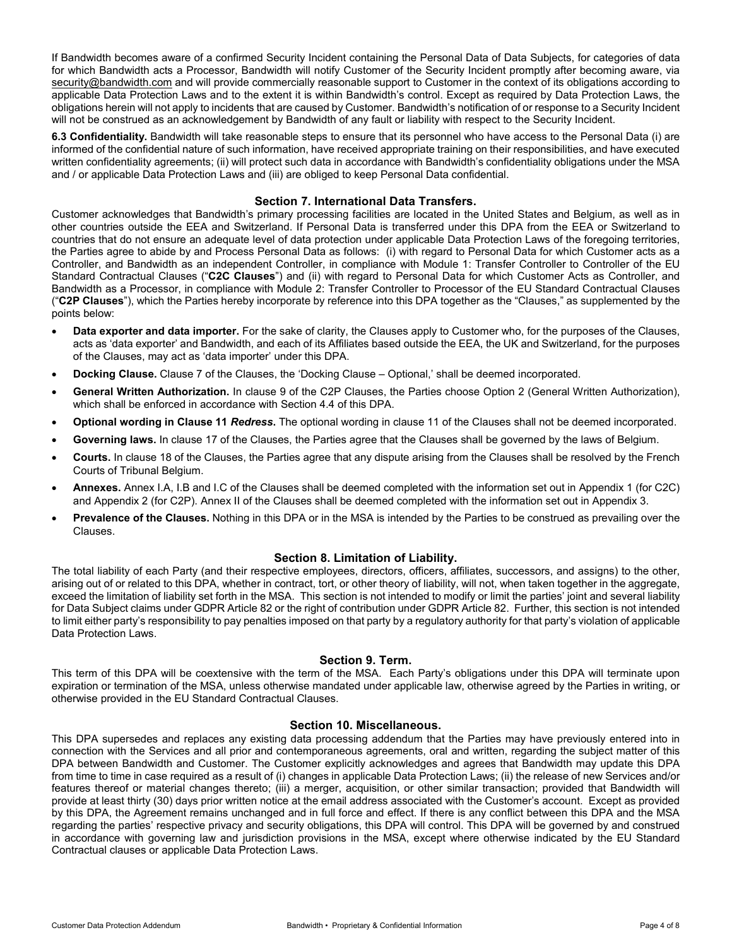If Bandwidth becomes aware of a confirmed Security Incident containing the Personal Data of Data Subjects, for categories of data for which Bandwidth acts a Processor, Bandwidth will notify Customer of the Security Incident promptly after becoming aware, via [security@bandwidth.com](mailto:security@bandwidth.com) and will provide commercially reasonable support to Customer in the context of its obligations according to applicable Data Protection Laws and to the extent it is within Bandwidth's control. Except as required by Data Protection Laws, the obligations herein will not apply to incidents that are caused by Customer. Bandwidth's notification of or response to a Security Incident will not be construed as an acknowledgement by Bandwidth of any fault or liability with respect to the Security Incident.

**6.3 Confidentiality.** Bandwidth will take reasonable steps to ensure that its personnel who have access to the Personal Data (i) are informed of the confidential nature of such information, have received appropriate training on their responsibilities, and have executed written confidentiality agreements; (ii) will protect such data in accordance with Bandwidth's confidentiality obligations under the MSA and / or applicable Data Protection Laws and (iii) are obliged to keep Personal Data confidential.

## **Section 7. International Data Transfers.**

Customer acknowledges that Bandwidth's primary processing facilities are located in the United States and Belgium, as well as in other countries outside the EEA and Switzerland. If Personal Data is transferred under this DPA from the EEA or Switzerland to countries that do not ensure an adequate level of data protection under applicable Data Protection Laws of the foregoing territories, the Parties agree to abide by and Process Personal Data as follows: (i) with regard to Personal Data for which Customer acts as a Controller, and Bandwidth as an independent Controller, in compliance with Module 1: Transfer Controller to Controller of the EU Standard Contractual Clauses ("**C2C Clauses**") and (ii) with regard to Personal Data for which Customer Acts as Controller, and Bandwidth as a Processor, in compliance with Module 2: Transfer Controller to Processor of the EU Standard Contractual Clauses ("**C2P Clauses**"), which the Parties hereby incorporate by reference into this DPA together as the "Clauses," as supplemented by the points below:

- **Data exporter and data importer.** For the sake of clarity, the Clauses apply to Customer who, for the purposes of the Clauses, acts as 'data exporter' and Bandwidth, and each of its Affiliates based outside the EEA, the UK and Switzerland, for the purposes of the Clauses, may act as 'data importer' under this DPA.
- **Docking Clause.** Clause 7 of the Clauses, the 'Docking Clause Optional,' shall be deemed incorporated.
- **General Written Authorization.** In clause 9 of the C2P Clauses, the Parties choose Option 2 (General Written Authorization), which shall be enforced in accordance with Section 4.4 of this DPA.
- **Optional wording in Clause 11** *Redress***.** The optional wording in clause 11 of the Clauses shall not be deemed incorporated.
- **Governing laws.** In clause 17 of the Clauses, the Parties agree that the Clauses shall be governed by the laws of Belgium.
- **Courts.** In clause 18 of the Clauses, the Parties agree that any dispute arising from the Clauses shall be resolved by the French Courts of Tribunal Belgium.
- **Annexes.** Annex I.A, I.B and I.C of the Clauses shall be deemed completed with the information set out in Appendix 1 (for C2C) and Appendix 2 (for C2P). Annex II of the Clauses shall be deemed completed with the information set out in Appendix 3.
- **Prevalence of the Clauses.** Nothing in this DPA or in the MSA is intended by the Parties to be construed as prevailing over the Clauses.

### **Section 8. Limitation of Liability.**

The total liability of each Party (and their respective employees, directors, officers, affiliates, successors, and assigns) to the other, arising out of or related to this DPA, whether in contract, tort, or other theory of liability, will not, when taken together in the aggregate, exceed the limitation of liability set forth in the MSA. This section is not intended to modify or limit the parties' joint and several liability for Data Subject claims under GDPR Article 82 or the right of contribution under GDPR Article 82. Further, this section is not intended to limit either party's responsibility to pay penalties imposed on that party by a regulatory authority for that party's violation of applicable Data Protection Laws.

### **Section 9. Term.**

This term of this DPA will be coextensive with the term of the MSA. Each Party's obligations under this DPA will terminate upon expiration or termination of the MSA, unless otherwise mandated under applicable law, otherwise agreed by the Parties in writing, or otherwise provided in the EU Standard Contractual Clauses.

#### **Section 10. Miscellaneous.**

This DPA supersedes and replaces any existing data processing addendum that the Parties may have previously entered into in connection with the Services and all prior and contemporaneous agreements, oral and written, regarding the subject matter of this DPA between Bandwidth and Customer. The Customer explicitly acknowledges and agrees that Bandwidth may update this DPA from time to time in case required as a result of (i) changes in applicable Data Protection Laws; (ii) the release of new Services and/or features thereof or material changes thereto; (iii) a merger, acquisition, or other similar transaction; provided that Bandwidth will provide at least thirty (30) days prior written notice at the email address associated with the Customer's account. Except as provided by this DPA, the Agreement remains unchanged and in full force and effect. If there is any conflict between this DPA and the MSA regarding the parties' respective privacy and security obligations, this DPA will control. This DPA will be governed by and construed in accordance with governing law and jurisdiction provisions in the MSA, except where otherwise indicated by the EU Standard Contractual clauses or applicable Data Protection Laws.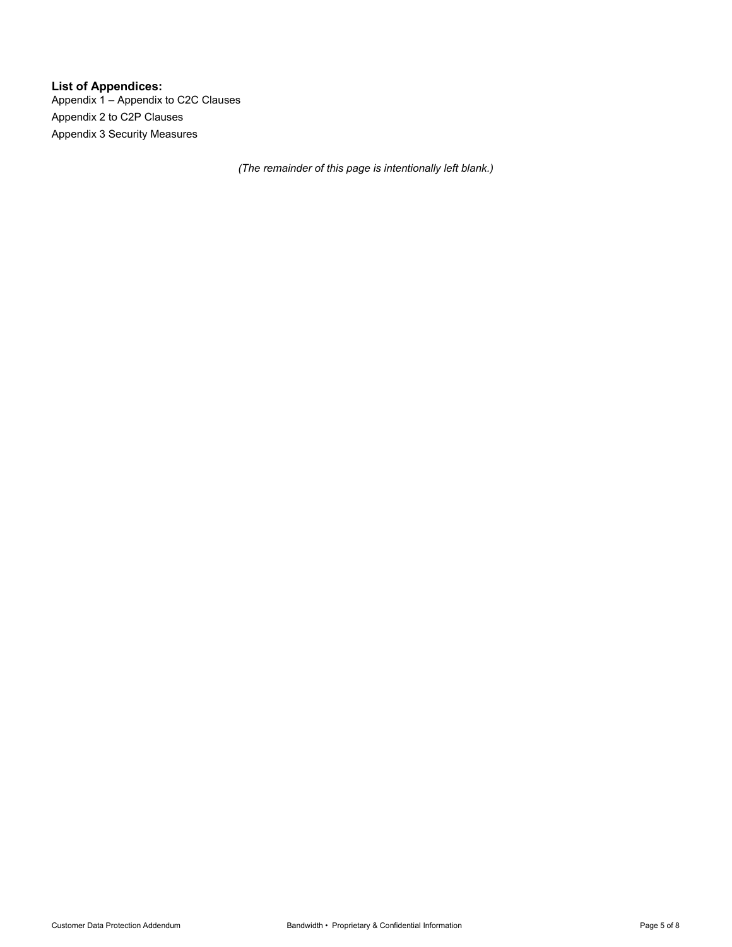**List of Appendices:** Appendix 1 – Appendix to C2C Clauses Appendix 2 to C2P Clauses Appendix 3 Security Measures

*(The remainder of this page is intentionally left blank.)*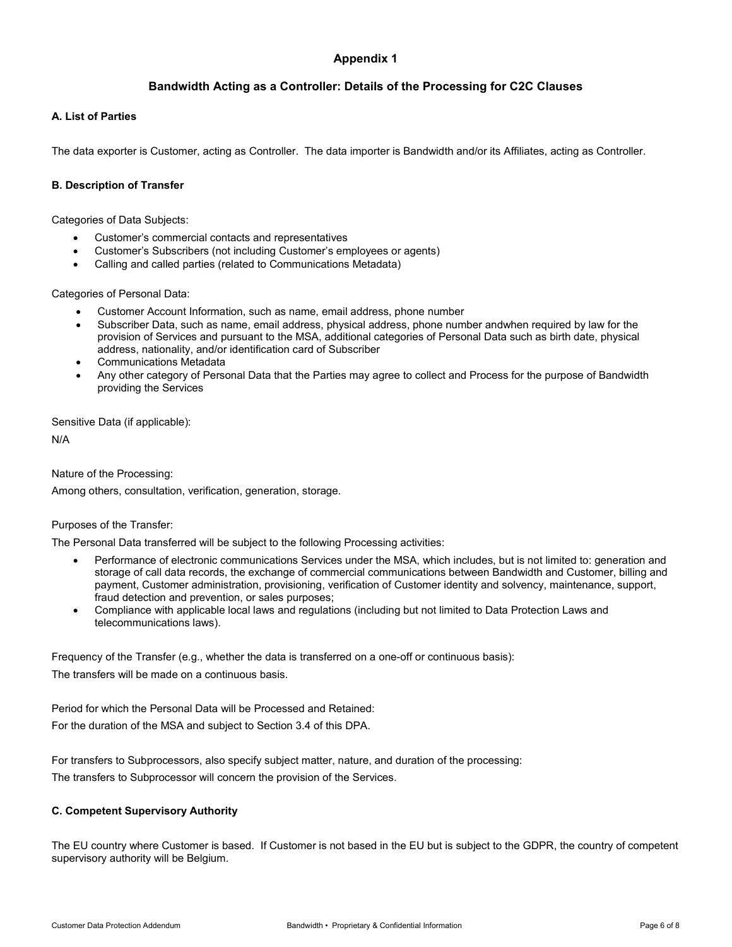## **Appendix 1**

## **Bandwidth Acting as a Controller: Details of the Processing for C2C Clauses**

### **A. List of Parties**

The data exporter is Customer, acting as Controller. The data importer is Bandwidth and/or its Affiliates, acting as Controller.

## **B. Description of Transfer**

Categories of Data Subjects:

- Customer's commercial contacts and representatives
- Customer's Subscribers (not including Customer's employees or agents)
- Calling and called parties (related to Communications Metadata)

Categories of Personal Data:

- Customer Account Information, such as name, email address, phone number
- Subscriber Data, such as name, email address, physical address, phone number andwhen required by law for the provision of Services and pursuant to the MSA, additional categories of Personal Data such as birth date, physical address, nationality, and/or identification card of Subscriber
- Communications Metadata
- Any other category of Personal Data that the Parties may agree to collect and Process for the purpose of Bandwidth providing the Services

Sensitive Data (if applicable):

N/A

Nature of the Processing:

Among others, consultation, verification, generation, storage.

### Purposes of the Transfer:

The Personal Data transferred will be subject to the following Processing activities:

- Performance of electronic communications Services under the MSA, which includes, but is not limited to: generation and storage of call data records, the exchange of commercial communications between Bandwidth and Customer, billing and payment, Customer administration, provisioning, verification of Customer identity and solvency, maintenance, support, fraud detection and prevention, or sales purposes;
- Compliance with applicable local laws and regulations (including but not limited to Data Protection Laws and telecommunications laws).

Frequency of the Transfer (e.g., whether the data is transferred on a one-off or continuous basis):

The transfers will be made on a continuous basis.

Period for which the Personal Data will be Processed and Retained: For the duration of the MSA and subject to Section 3.4 of this DPA.

For transfers to Subprocessors, also specify subject matter, nature, and duration of the processing: The transfers to Subprocessor will concern the provision of the Services.

### **C. Competent Supervisory Authority**

The EU country where Customer is based. If Customer is not based in the EU but is subject to the GDPR, the country of competent supervisory authority will be Belgium.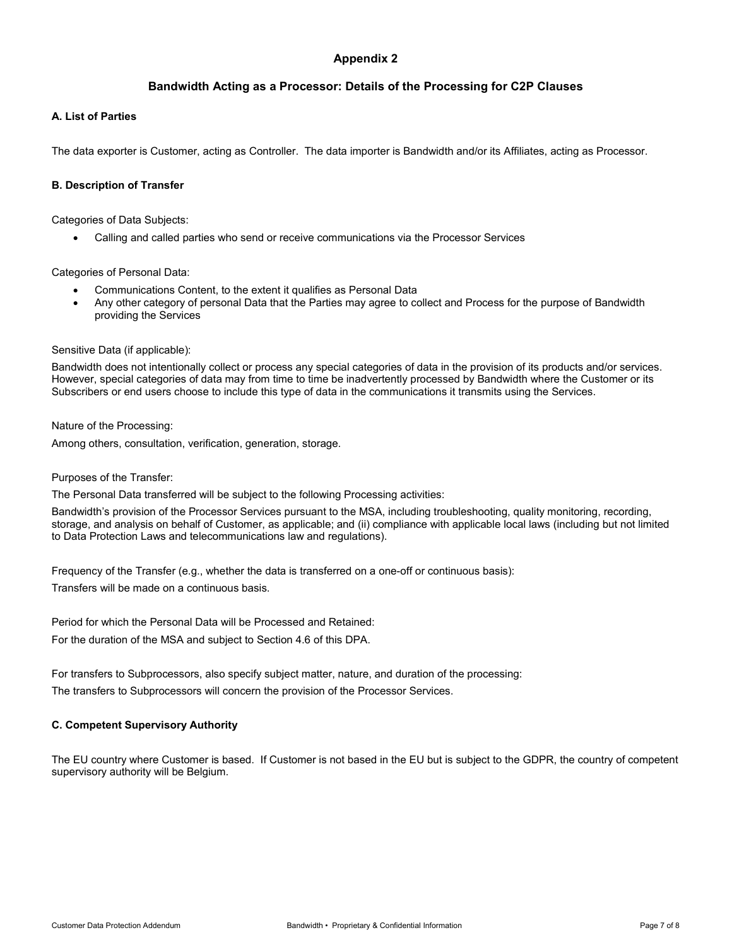## **Appendix 2**

## **Bandwidth Acting as a Processor: Details of the Processing for C2P Clauses**

### **A. List of Parties**

The data exporter is Customer, acting as Controller. The data importer is Bandwidth and/or its Affiliates, acting as Processor.

## **B. Description of Transfer**

Categories of Data Subjects:

• Calling and called parties who send or receive communications via the Processor Services

Categories of Personal Data:

- Communications Content, to the extent it qualifies as Personal Data
- Any other category of personal Data that the Parties may agree to collect and Process for the purpose of Bandwidth providing the Services

### Sensitive Data (if applicable):

Bandwidth does not intentionally collect or process any special categories of data in the provision of its products and/or services. However, special categories of data may from time to time be inadvertently processed by Bandwidth where the Customer or its Subscribers or end users choose to include this type of data in the communications it transmits using the Services.

Nature of the Processing:

Among others, consultation, verification, generation, storage.

### Purposes of the Transfer:

The Personal Data transferred will be subject to the following Processing activities:

Bandwidth's provision of the Processor Services pursuant to the MSA, including troubleshooting, quality monitoring, recording, storage, and analysis on behalf of Customer, as applicable; and (ii) compliance with applicable local laws (including but not limited to Data Protection Laws and telecommunications law and regulations).

Frequency of the Transfer (e.g., whether the data is transferred on a one-off or continuous basis): Transfers will be made on a continuous basis.

Period for which the Personal Data will be Processed and Retained: For the duration of the MSA and subject to Section 4.6 of this DPA.

For transfers to Subprocessors, also specify subject matter, nature, and duration of the processing: The transfers to Subprocessors will concern the provision of the Processor Services.

### **C. Competent Supervisory Authority**

The EU country where Customer is based. If Customer is not based in the EU but is subject to the GDPR, the country of competent supervisory authority will be Belgium.